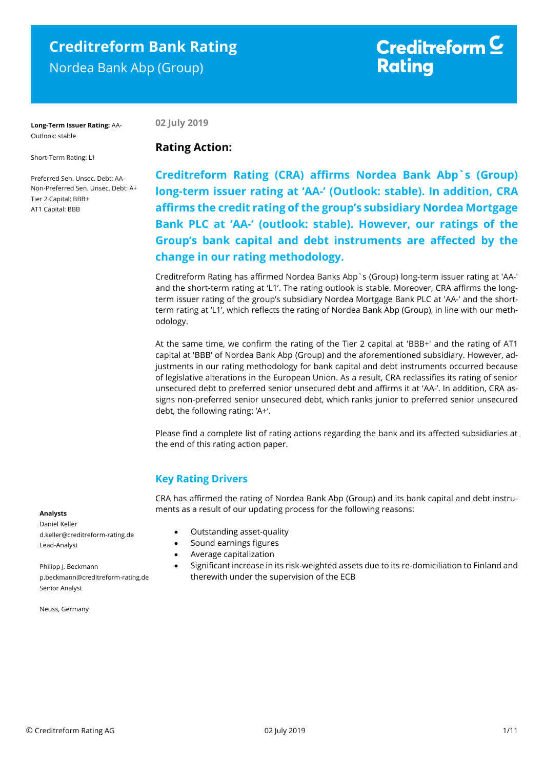# **Creditreform Bank Rating** Nordea Bank Abp (Group)

# Creditreform  $\subseteq$ **Rating**

**Long-Term Issuer Rating:** AA-Outlook: stable

**02 July 2019**

**Rating Action:** 

Short-Term Rating: L1

Preferred Sen. Unsec. Debt: AA-Non-Preferred Sen. Unsec. Debt: A+ Tier 2 Capital: BBB+ AT1 Capital: BBB

**Creditreform Rating (CRA) affirms Nordea Bank Abp`s (Group) long-term issuer rating at 'AA-' (Outlook: stable). In addition, CRA affirms the credit rating of the group's subsidiary Nordea Mortgage Bank PLC at 'AA-' (outlook: stable). However, our ratings of the Group's bank capital and debt instruments are affected by the change in our rating methodology.**

Creditreform Rating has affirmed Nordea Banks Abp`s (Group) long-term issuer rating at 'AA-' and the short-term rating at 'L1'. The rating outlook is stable. Moreover, CRA affirms the longterm issuer rating of the group's subsidiary Nordea Mortgage Bank PLC at 'AA-' and the shortterm rating at 'L1', which reflects the rating of Nordea Bank Abp (Group), in line with our methodology.

At the same time, we confirm the rating of the Tier 2 capital at 'BBB+' and the rating of AT1 capital at 'BBB' of Nordea Bank Abp (Group) and the aforementioned subsidiary. However, adjustments in our rating methodology for bank capital and debt instruments occurred because of legislative alterations in the European Union. As a result, CRA reclassifies its rating of senior unsecured debt to preferred senior unsecured debt and affirms it at 'AA-'. In addition, CRA assigns non-preferred senior unsecured debt, which ranks junior to preferred senior unsecured debt, the following rating: 'A+'.

Please find a complete list of rating actions regarding the bank and its affected subsidiaries at the end of this rating action paper.

# **Key Rating Drivers**

CRA has affirmed the rating of Nordea Bank Abp (Group) and its bank capital and debt instruments as a result of our updating process for the following reasons:

### **Analysts**

Daniel Keller d.keller@creditreform-rating.de Lead-Analyst

Philipp J. Beckmann p.beckmann@creditreform-rating.de Senior Analyst

Neuss, Germany

- Outstanding asset-quality
- Sound earnings figures
- Average capitalization
- Significant increase in its risk-weighted assets due to its re-domiciliation to Finland and therewith under the supervision of the ECB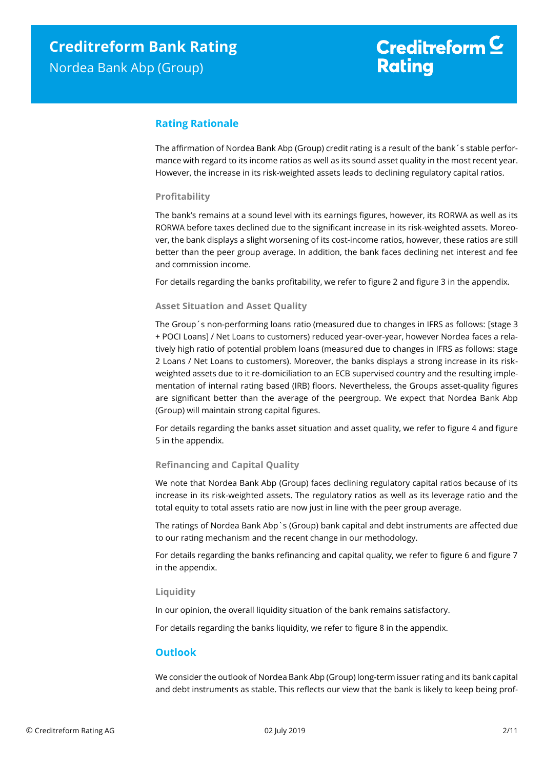# **Rating Rationale**

The affirmation of Nordea Bank Abp (Group) credit rating is a result of the bank´s stable performance with regard to its income ratios as well as its sound asset quality in the most recent year. However, the increase in its risk-weighted assets leads to declining regulatory capital ratios.

# **Profitability**

The bank's remains at a sound level with its earnings figures, however, its RORWA as well as its RORWA before taxes declined due to the significant increase in its risk-weighted assets. Moreover, the bank displays a slight worsening of its cost-income ratios, however, these ratios are still better than the peer group average. In addition, the bank faces declining net interest and fee and commission income.

For details regarding the banks profitability, we refer to figure 2 and figure 3 in the appendix.

# **Asset Situation and Asset Quality**

The Group´s non-performing loans ratio (measured due to changes in IFRS as follows: [stage 3 + POCI Loans] / Net Loans to customers) reduced year-over-year, however Nordea faces a relatively high ratio of potential problem loans (measured due to changes in IFRS as follows: stage 2 Loans / Net Loans to customers). Moreover, the banks displays a strong increase in its riskweighted assets due to it re-domiciliation to an ECB supervised country and the resulting implementation of internal rating based (IRB) floors. Nevertheless, the Groups asset-quality figures are significant better than the average of the peergroup. We expect that Nordea Bank Abp (Group) will maintain strong capital figures.

For details regarding the banks asset situation and asset quality, we refer to figure 4 and figure 5 in the appendix.

# **Refinancing and Capital Quality**

We note that Nordea Bank Abp (Group) faces declining regulatory capital ratios because of its increase in its risk-weighted assets. The regulatory ratios as well as its leverage ratio and the total equity to total assets ratio are now just in line with the peer group average.

The ratings of Nordea Bank Abp`s (Group) bank capital and debt instruments are affected due to our rating mechanism and the recent change in our methodology.

For details regarding the banks refinancing and capital quality, we refer to figure 6 and figure 7 in the appendix.

# **Liquidity**

In our opinion, the overall liquidity situation of the bank remains satisfactory.

For details regarding the banks liquidity, we refer to figure 8 in the appendix.

# **Outlook**

We consider the outlook of Nordea Bank Abp (Group) long-term issuer rating and its bank capital and debt instruments as stable. This reflects our view that the bank is likely to keep being prof-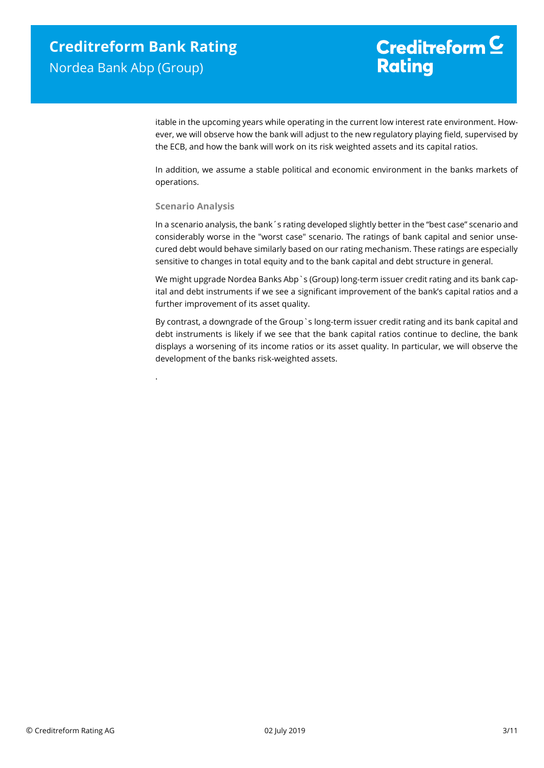# Creditreform  $\mathsf{\underline{C}}$ **Rating**

itable in the upcoming years while operating in the current low interest rate environment. However, we will observe how the bank will adjust to the new regulatory playing field, supervised by the ECB, and how the bank will work on its risk weighted assets and its capital ratios.

In addition, we assume a stable political and economic environment in the banks markets of operations.

# **Scenario Analysis**

.

In a scenario analysis, the bank´s rating developed slightly better in the "best case" scenario and considerably worse in the "worst case" scenario. The ratings of bank capital and senior unsecured debt would behave similarly based on our rating mechanism. These ratings are especially sensitive to changes in total equity and to the bank capital and debt structure in general.

We might upgrade Nordea Banks Abp`s (Group) long-term issuer credit rating and its bank capital and debt instruments if we see a significant improvement of the bank's capital ratios and a further improvement of its asset quality.

By contrast, a downgrade of the Group`s long-term issuer credit rating and its bank capital and debt instruments is likely if we see that the bank capital ratios continue to decline, the bank displays a worsening of its income ratios or its asset quality. In particular, we will observe the development of the banks risk-weighted assets.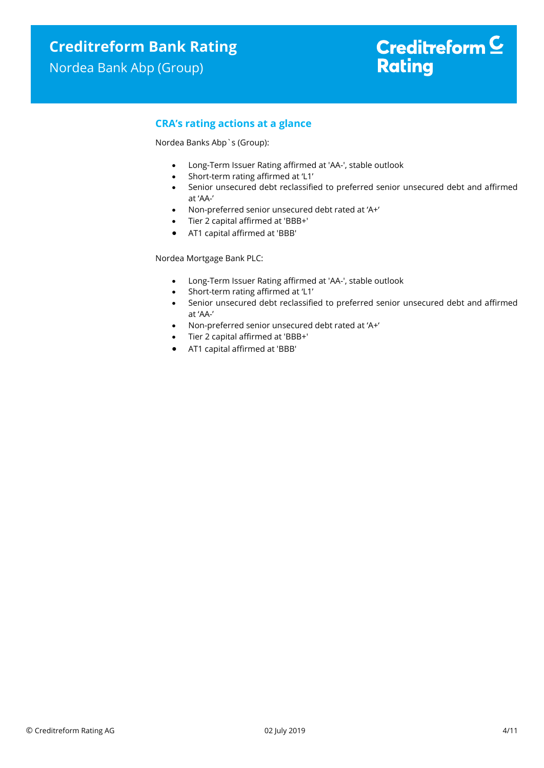# **CRA's rating actions at a glance**

Nordea Banks Abp`s (Group):

- Long-Term Issuer Rating affirmed at 'AA-', stable outlook
- Short-term rating affirmed at 'L1'
- Senior unsecured debt reclassified to preferred senior unsecured debt and affirmed at 'AA-'
- Non-preferred senior unsecured debt rated at 'A+'
- Tier 2 capital affirmed at 'BBB+'
- AT1 capital affirmed at 'BBB'

Nordea Mortgage Bank PLC:

- Long-Term Issuer Rating affirmed at 'AA-', stable outlook
- Short-term rating affirmed at 'L1'
- Senior unsecured debt reclassified to preferred senior unsecured debt and affirmed at 'AA-'
- Non-preferred senior unsecured debt rated at 'A+'
- Tier 2 capital affirmed at 'BBB+'
- AT1 capital affirmed at 'BBB'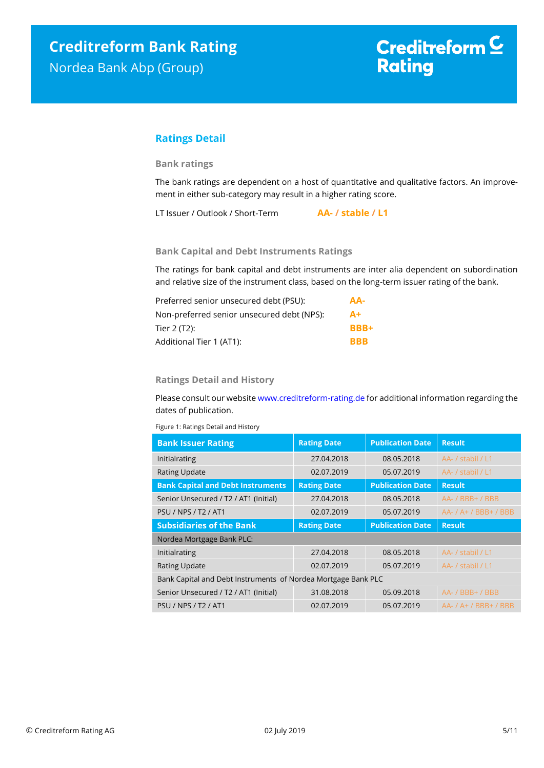# **Ratings Detail**

# **Bank ratings**

The bank ratings are dependent on a host of quantitative and qualitative factors. An improvement in either sub-category may result in a higher rating score.

LT Issuer / Outlook / Short-Term **AA- / stable / L1**

## **Bank Capital and Debt Instruments Ratings**

The ratings for bank capital and debt instruments are inter alia dependent on subordination and relative size of the instrument class, based on the long-term issuer rating of the bank.

| Preferred senior unsecured debt (PSU):     | AA-         |
|--------------------------------------------|-------------|
| Non-preferred senior unsecured debt (NPS): | $A+$        |
| Tier 2 (T2):                               | <b>BBB+</b> |
| Additional Tier 1 (AT1):                   | <b>BBB</b>  |

## **Ratings Detail and History**

Please consult our websit[e www.creditreform-rating.de](http://www.creditreform-rating.de/) for additional information regarding the dates of publication.

Figure 1: Ratings Detail and History

| <b>Bank Issuer Rating</b>                                     | <b>Rating Date</b> | <b>Publication Date</b> | <b>Result</b>                 |
|---------------------------------------------------------------|--------------------|-------------------------|-------------------------------|
| Initialrating                                                 | 27.04.2018         | 08.05.2018              | AA- / stabil / L1             |
| <b>Rating Update</b>                                          | 02.07.2019         | 05.07.2019              | AA- / stabil / L1             |
| <b>Bank Capital and Debt Instruments</b>                      | <b>Rating Date</b> | <b>Publication Date</b> | <b>Result</b>                 |
| Senior Unsecured / T2 / AT1 (Initial)                         | 27.04.2018         | 08.05.2018              | $AA - / BBB + / BBB$          |
| <b>PSU / NPS / T2 / AT1</b>                                   | 02.07.2019         | 05.07.2019              | $AA-$ / $A+$ / $BBB+$ / $BBB$ |
| <b>Subsidiaries of the Bank</b>                               | <b>Rating Date</b> | <b>Publication Date</b> | <b>Result</b>                 |
| Nordea Mortgage Bank PLC:                                     |                    |                         |                               |
| Initialrating                                                 | 27.04.2018         | 08.05.2018              | AA- / stabil / L1             |
| <b>Rating Update</b>                                          | 02.07.2019         | 05.07.2019              | AA- / stabil / L1             |
| Bank Capital and Debt Instruments of Nordea Mortgage Bank PLC |                    |                         |                               |
| Senior Unsecured / T2 / AT1 (Initial)                         | 31.08.2018         | 05.09.2018              | AA- / BBB+ / BBB              |
| <b>PSU / NPS / T2 / AT1</b>                                   | 02.07.2019         | 05.07.2019              | $AA - / A + / BBB + / BBB$    |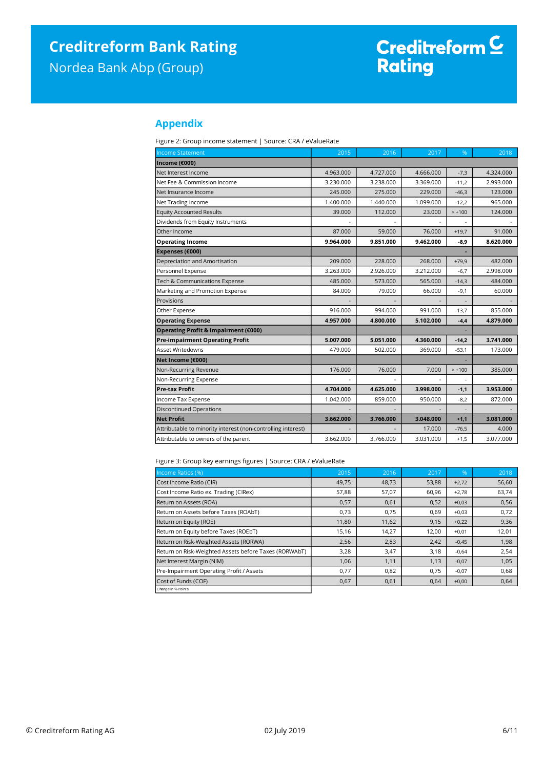Nordea Bank Abp (Group)

# Creditreform <sup>C</sup><br>Rating

# **Appendix**

Figure 2: Group income statement | Source: CRA / eValueRate

| <b>Income Statement</b>                                      | 2015      | 2016      | 2017      | %        | 2018      |
|--------------------------------------------------------------|-----------|-----------|-----------|----------|-----------|
| Income (€000)                                                |           |           |           |          |           |
| Net Interest Income                                          | 4.963.000 | 4.727.000 | 4.666.000 | $-7,3$   | 4.324.000 |
| Net Fee & Commission Income                                  | 3.230.000 | 3.238.000 | 3.369.000 | $-11.2$  | 2.993.000 |
| Net Insurance Income                                         | 245,000   | 275.000   | 229,000   | $-46,3$  | 123.000   |
| Net Trading Income                                           | 1.400.000 | 1.440.000 | 1.099.000 | $-12,2$  | 965.000   |
| <b>Equity Accounted Results</b>                              | 39,000    | 112.000   | 23.000    | $> +100$ | 124.000   |
| Dividends from Equity Instruments                            |           |           |           |          |           |
| Other Income                                                 | 87,000    | 59.000    | 76.000    | $+19,7$  | 91.000    |
| <b>Operating Income</b>                                      | 9.964.000 | 9.851.000 | 9.462.000 | $-8,9$   | 8.620.000 |
| Expenses (€000)                                              |           |           |           |          |           |
| Depreciation and Amortisation                                | 209,000   | 228,000   | 268,000   | $+79,9$  | 482.000   |
| Personnel Expense                                            | 3.263.000 | 2.926.000 | 3.212.000 | $-6,7$   | 2.998.000 |
| Tech & Communications Expense                                | 485.000   | 573.000   | 565.000   | $-14,3$  | 484.000   |
| Marketing and Promotion Expense                              | 84.000    | 79.000    | 66.000    | $-9,1$   | 60.000    |
| Provisions                                                   |           |           |           |          |           |
| Other Expense                                                | 916.000   | 994.000   | 991.000   | $-13,7$  | 855.000   |
| <b>Operating Expense</b>                                     | 4.957.000 | 4.800.000 | 5.102.000 | $-4,4$   | 4.879.000 |
| Operating Profit & Impairment (€000)                         |           |           |           |          |           |
| <b>Pre-impairment Operating Profit</b>                       | 5.007.000 | 5.051.000 | 4.360.000 | $-14,2$  | 3.741.000 |
| Asset Writedowns                                             | 479.000   | 502.000   | 369.000   | $-53,1$  | 173.000   |
| Net Income (€000)                                            |           |           |           |          |           |
| Non-Recurring Revenue                                        | 176,000   | 76.000    | 7.000     | $> +100$ | 385.000   |
| Non-Recurring Expense                                        |           |           |           |          |           |
| <b>Pre-tax Profit</b>                                        | 4.704.000 | 4.625.000 | 3.998.000 | $-1,1$   | 3.953.000 |
| Income Tax Expense                                           | 1.042.000 | 859.000   | 950.000   | $-8,2$   | 872.000   |
| <b>Discontinued Operations</b>                               |           |           |           |          |           |
| <b>Net Profit</b>                                            | 3.662.000 | 3.766.000 | 3.048.000 | $+1,1$   | 3.081.000 |
| Attributable to minority interest (non-controlling interest) |           |           | 17.000    | $-76,5$  | 4.000     |
| Attributable to owners of the parent                         | 3.662.000 | 3.766.000 | 3.031.000 | $+1,5$   | 3.077.000 |

Figure 3: Group key earnings figures | Source: CRA / eValueRate

| Income Ratios (%)                                     | 2015  | 2016  | 2017  | %       | 2018  |
|-------------------------------------------------------|-------|-------|-------|---------|-------|
| Cost Income Ratio (CIR)                               | 49,75 | 48,73 | 53,88 | $+2,72$ | 56,60 |
| Cost Income Ratio ex. Trading (CIRex)                 | 57,88 | 57,07 | 60,96 | $+2,78$ | 63,74 |
| Return on Assets (ROA)                                | 0,57  | 0,61  | 0,52  | $+0,03$ | 0,56  |
| Return on Assets before Taxes (ROAbT)                 | 0,73  | 0,75  | 0,69  | $+0,03$ | 0,72  |
| Return on Equity (ROE)                                | 11,80 | 11,62 | 9,15  | $+0,22$ | 9,36  |
| Return on Equity before Taxes (ROEbT)                 | 15,16 | 14,27 | 12,00 | $+0,01$ | 12,01 |
| Return on Risk-Weighted Assets (RORWA)                | 2,56  | 2,83  | 2,42  | $-0,45$ | 1,98  |
| Return on Risk-Weighted Assets before Taxes (RORWAbT) | 3,28  | 3,47  | 3,18  | $-0,64$ | 2,54  |
| Net Interest Margin (NIM)                             | 1,06  | 1,11  | 1,13  | $-0,07$ | 1,05  |
| Pre-Impairment Operating Profit / Assets              | 0,77  | 0,82  | 0,75  | $-0,07$ | 0,68  |
| Cost of Funds (COF)                                   | 0,67  | 0,61  | 0,64  | $+0,00$ | 0,64  |
| Change in % Points                                    |       |       |       |         |       |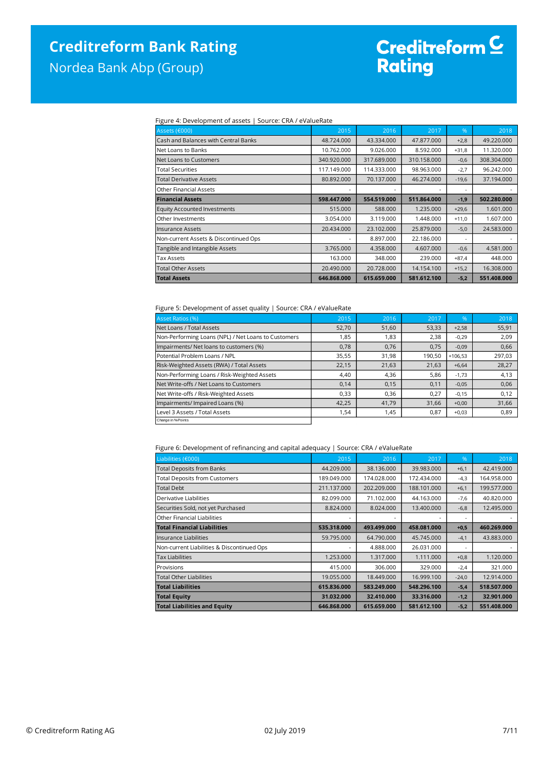# **Creditreform Bank Rating**

Nordea Bank Abp (Group)

# Creditreform C<br>Rating

### Figure 4: Development of assets | Source: CRA / eValueRate

| Assets (€000)                         | 2015        | 2016        | 2017        | %       | 2018        |
|---------------------------------------|-------------|-------------|-------------|---------|-------------|
| Cash and Balances with Central Banks  | 48.724.000  | 43.334.000  | 47.877.000  | $+2,8$  | 49.220.000  |
| Net Loans to Banks                    | 10.762.000  | 9.026.000   | 8.592.000   | $+31,8$ | 11.320.000  |
| Net Loans to Customers                | 340.920.000 | 317.689.000 | 310.158.000 | $-0,6$  | 308.304.000 |
| <b>Total Securities</b>               | 117.149.000 | 114.333.000 | 98.963.000  | $-2,7$  | 96.242.000  |
| <b>Total Derivative Assets</b>        | 80.892.000  | 70.137.000  | 46.274.000  | $-19,6$ | 37.194.000  |
| Other Financial Assets                | ٠           |             |             | ٠       |             |
| <b>Financial Assets</b>               | 598.447.000 | 554.519.000 | 511.864.000 | $-1,9$  | 502.280.000 |
| Equity Accounted Investments          | 515.000     | 588,000     | 1.235.000   | $+29,6$ | 1.601.000   |
| Other Investments                     | 3.054.000   | 3.119.000   | 1.448.000   | $+11,0$ | 1.607.000   |
| Insurance Assets                      | 20.434.000  | 23.102.000  | 25.879.000  | $-5,0$  | 24.583.000  |
| Non-current Assets & Discontinued Ops | ٠           | 8.897.000   | 22.186.000  | ٠       |             |
| Tangible and Intangible Assets        | 3.765.000   | 4.358.000   | 4.607.000   | $-0,6$  | 4.581.000   |
| <b>Tax Assets</b>                     | 163.000     | 348.000     | 239.000     | $+87,4$ | 448,000     |
| <b>Total Other Assets</b>             | 20.490.000  | 20.728.000  | 14.154.100  | $+15,2$ | 16.308.000  |
| <b>Total Assets</b>                   | 646.868.000 | 615.659.000 | 581.612.100 | $-5,2$  | 551.408.000 |

#### Figure 5: Development of asset quality | Source: CRA / eValueRate

| - -                                                 |       |       |        |           |        |
|-----------------------------------------------------|-------|-------|--------|-----------|--------|
| <b>Asset Ratios (%)</b>                             | 2015  | 2016  | 2017   | %         | 2018   |
| Net Loans / Total Assets                            | 52,70 | 51,60 | 53,33  | $+2,58$   | 55,91  |
| Non-Performing Loans (NPL) / Net Loans to Customers | 1,85  | 1,83  | 2,38   | $-0,29$   | 2,09   |
| Impairments/ Net loans to customers (%)             | 0,78  | 0,76  | 0,75   | $-0,09$   | 0,66   |
| Potential Problem Loans / NPL                       | 35,55 | 31,98 | 190,50 | $+106,53$ | 297,03 |
| Risk-Weighted Assets (RWA) / Total Assets           | 22,15 | 21,63 | 21,63  | $+6,64$   | 28,27  |
| Non-Performing Loans / Risk-Weighted Assets         | 4,40  | 4,36  | 5,86   | $-1,73$   | 4,13   |
| Net Write-offs / Net Loans to Customers             | 0,14  | 0,15  | 0,11   | $-0,05$   | 0,06   |
| Net Write-offs / Risk-Weighted Assets               | 0,33  | 0,36  | 0,27   | $-0,15$   | 0,12   |
| Impairments/ Impaired Loans (%)                     | 42,25 | 41,79 | 31,66  | $+0,00$   | 31,66  |
| Level 3 Assets / Total Assets                       | 1,54  | 1,45  | 0,87   | $+0,03$   | 0,89   |
| Change in % Points                                  |       |       |        |           |        |

### Figure 6: Development of refinancing and capital adequacy | Source: CRA / eValueRate

| Liabilities (€000)                         | 2015        | 2016        | 2017        | $\%$    | 2018        |
|--------------------------------------------|-------------|-------------|-------------|---------|-------------|
| <b>Total Deposits from Banks</b>           | 44.209.000  | 38.136.000  | 39.983.000  | $+6,1$  | 42.419.000  |
| <b>Total Deposits from Customers</b>       | 189.049.000 | 174.028.000 | 172.434.000 | $-4,3$  | 164.958.000 |
| <b>Total Debt</b>                          | 211.137.000 | 202.209.000 | 188.101.000 | $+6,1$  | 199.577.000 |
| Derivative Liabilities                     | 82.099.000  | 71.102.000  | 44.163.000  | $-7,6$  | 40.820.000  |
| Securities Sold, not yet Purchased         | 8.824.000   | 8.024.000   | 13,400,000  | $-6,8$  | 12.495.000  |
| Other Financial Liabilities                |             |             |             | ٠       |             |
| <b>Total Financial Liabilities</b>         | 535.318.000 | 493.499.000 | 458.081.000 | $+0,5$  | 460.269.000 |
| llnsurance Liabilities                     | 59.795.000  | 64.790.000  | 45.745.000  | $-4,1$  | 43.883.000  |
| Non-current Liabilities & Discontinued Ops | ٠           | 4.888.000   | 26.031.000  | ٠       |             |
| <b>Tax Liabilities</b>                     | 1.253.000   | 1.317.000   | 1.111.000   | $+0,8$  | 1.120.000   |
| Provisions                                 | 415.000     | 306.000     | 329.000     | $-2,4$  | 321.000     |
| <b>Total Other Liabilities</b>             | 19.055.000  | 18,449,000  | 16.999.100  | $-24,0$ | 12.914.000  |
| <b>Total Liabilities</b>                   | 615.836.000 | 583.249.000 | 548.296.100 | $-5,4$  | 518.507.000 |
| <b>Total Equity</b>                        | 31.032.000  | 32.410.000  | 33.316.000  | $-1,2$  | 32.901.000  |
| <b>Total Liabilities and Equity</b>        | 646.868.000 | 615.659.000 | 581.612.100 | $-5,2$  | 551.408.000 |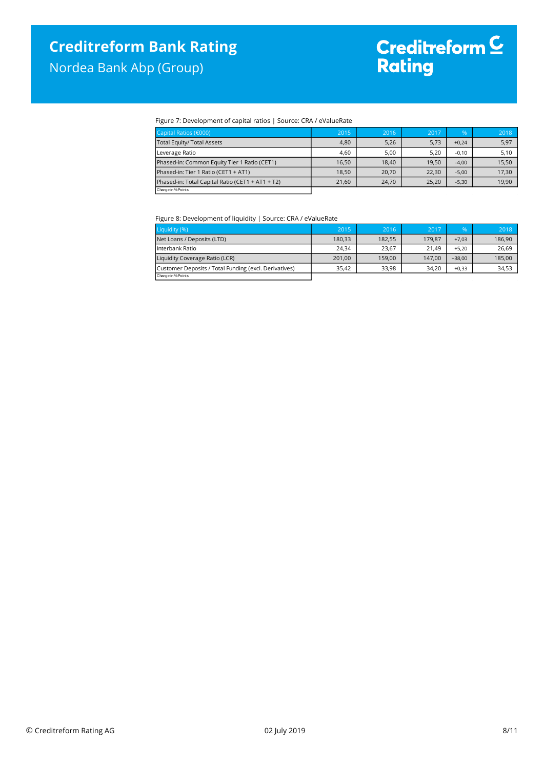Nordea Bank Abp (Group)

# Creditreform <sup>C</sup><br>Rating

### Figure 7: Development of capital ratios | Source: CRA / eValueRate

| Capital Ratios (€000)                            | 2015  | 2016  | 2017  | $\%$    | 2018  |
|--------------------------------------------------|-------|-------|-------|---------|-------|
| <b>Total Equity/ Total Assets</b>                | 4,80  | 5,26  | 5,73  | $+0.24$ | 5,97  |
| Leverage Ratio                                   | 4,60  | 5,00  | 5,20  | $-0,10$ | 5,10  |
| Phased-in: Common Equity Tier 1 Ratio (CET1)     | 16,50 | 18.40 | 19.50 | $-4,00$ | 15.50 |
| Phased-in: Tier 1 Ratio (CET1 + AT1)             | 18,50 | 20,70 | 22,30 | $-5,00$ | 17,30 |
| Phased-in: Total Capital Ratio (CET1 + AT1 + T2) | 21.60 | 24.70 | 25.20 | $-5,30$ | 19.90 |
| Change in % Points                               |       |       |       |         |       |
|                                                  |       |       |       |         |       |

Figure 8: Development of liquidity | Source: CRA / eValueRate

| Liquidity (%)                                         | 2015   | 2016   | 2017   | $\%$     | 2018   |
|-------------------------------------------------------|--------|--------|--------|----------|--------|
| Net Loans / Deposits (LTD)                            | 180.33 | 182,55 | 179.87 | $+7.03$  | 186,90 |
| Interbank Ratio                                       | 24.34  | 23.67  | 21.49  | $+5.20$  | 26.69  |
| Liquidity Coverage Ratio (LCR)                        | 201.00 | 159.00 | 147.00 | $+38.00$ | 185,00 |
| Customer Deposits / Total Funding (excl. Derivatives) | 35.42  | 33,98  | 34.20  | $+0.33$  | 34,53  |
| Change in % Points                                    |        |        |        |          |        |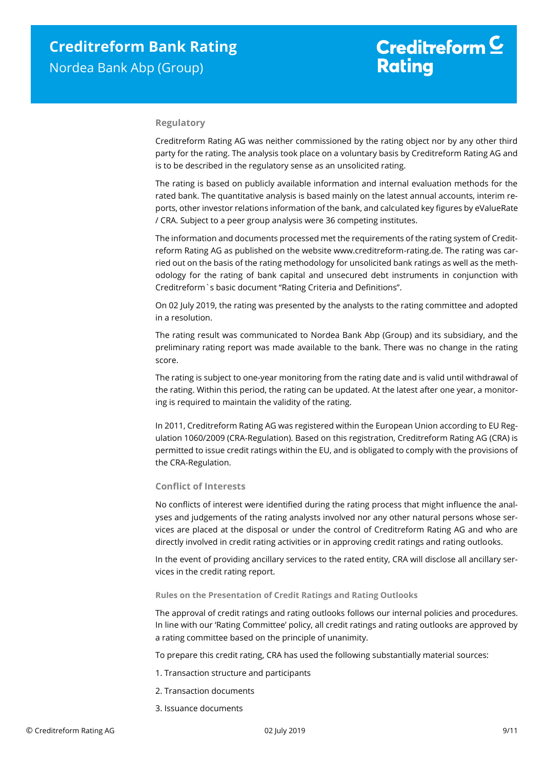## **Regulatory**

Creditreform Rating AG was neither commissioned by the rating object nor by any other third party for the rating. The analysis took place on a voluntary basis by Creditreform Rating AG and is to be described in the regulatory sense as an unsolicited rating.

The rating is based on publicly available information and internal evaluation methods for the rated bank. The quantitative analysis is based mainly on the latest annual accounts, interim reports, other investor relations information of the bank, and calculated key figures by eValueRate / CRA. Subject to a peer group analysis were 36 competing institutes.

The information and documents processed met the requirements of the rating system of Creditreform Rating AG as published on the website www.creditreform-rating.de. The rating was carried out on the basis of the rating methodology for unsolicited bank ratings as well as the methodology for the rating of bank capital and unsecured debt instruments in conjunction with Creditreform`s basic document "Rating Criteria and Definitions".

On 02 July 2019, the rating was presented by the analysts to the rating committee and adopted in a resolution.

The rating result was communicated to Nordea Bank Abp (Group) and its subsidiary, and the preliminary rating report was made available to the bank. There was no change in the rating score.

The rating is subject to one-year monitoring from the rating date and is valid until withdrawal of the rating. Within this period, the rating can be updated. At the latest after one year, a monitoring is required to maintain the validity of the rating.

In 2011, Creditreform Rating AG was registered within the European Union according to EU Regulation 1060/2009 (CRA-Regulation). Based on this registration, Creditreform Rating AG (CRA) is permitted to issue credit ratings within the EU, and is obligated to comply with the provisions of the CRA-Regulation.

# **Conflict of Interests**

No conflicts of interest were identified during the rating process that might influence the analyses and judgements of the rating analysts involved nor any other natural persons whose services are placed at the disposal or under the control of Creditreform Rating AG and who are directly involved in credit rating activities or in approving credit ratings and rating outlooks.

In the event of providing ancillary services to the rated entity, CRA will disclose all ancillary services in the credit rating report.

#### **Rules on the Presentation of Credit Ratings and Rating Outlooks**

The approval of credit ratings and rating outlooks follows our internal policies and procedures. In line with our 'Rating Committee' policy, all credit ratings and rating outlooks are approved by a rating committee based on the principle of unanimity.

To prepare this credit rating, CRA has used the following substantially material sources:

- 1. Transaction structure and participants
- 2. Transaction documents
- 3. Issuance documents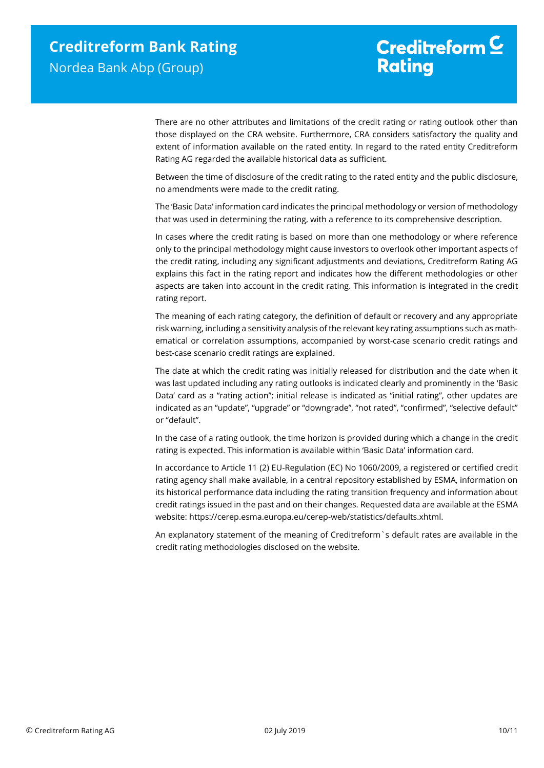# Creditreform  $C$ **Rating**

There are no other attributes and limitations of the credit rating or rating outlook other than those displayed on the CRA website. Furthermore, CRA considers satisfactory the quality and extent of information available on the rated entity. In regard to the rated entity Creditreform Rating AG regarded the available historical data as sufficient.

Between the time of disclosure of the credit rating to the rated entity and the public disclosure, no amendments were made to the credit rating.

The 'Basic Data' information card indicates the principal methodology or version of methodology that was used in determining the rating, with a reference to its comprehensive description.

In cases where the credit rating is based on more than one methodology or where reference only to the principal methodology might cause investors to overlook other important aspects of the credit rating, including any significant adjustments and deviations, Creditreform Rating AG explains this fact in the rating report and indicates how the different methodologies or other aspects are taken into account in the credit rating. This information is integrated in the credit rating report.

The meaning of each rating category, the definition of default or recovery and any appropriate risk warning, including a sensitivity analysis of the relevant key rating assumptions such as mathematical or correlation assumptions, accompanied by worst-case scenario credit ratings and best-case scenario credit ratings are explained.

The date at which the credit rating was initially released for distribution and the date when it was last updated including any rating outlooks is indicated clearly and prominently in the 'Basic Data' card as a "rating action"; initial release is indicated as "initial rating", other updates are indicated as an "update", "upgrade" or "downgrade", "not rated", "confirmed", "selective default" or "default".

In the case of a rating outlook, the time horizon is provided during which a change in the credit rating is expected. This information is available within 'Basic Data' information card.

In accordance to Article 11 (2) EU-Regulation (EC) No 1060/2009, a registered or certified credit rating agency shall make available, in a central repository established by ESMA, information on its historical performance data including the rating transition frequency and information about credit ratings issued in the past and on their changes. Requested data are available at the ESMA website: https://cerep.esma.europa.eu/cerep-web/statistics/defaults.xhtml.

An explanatory statement of the meaning of Creditreform`s default rates are available in the credit rating methodologies disclosed on the website.